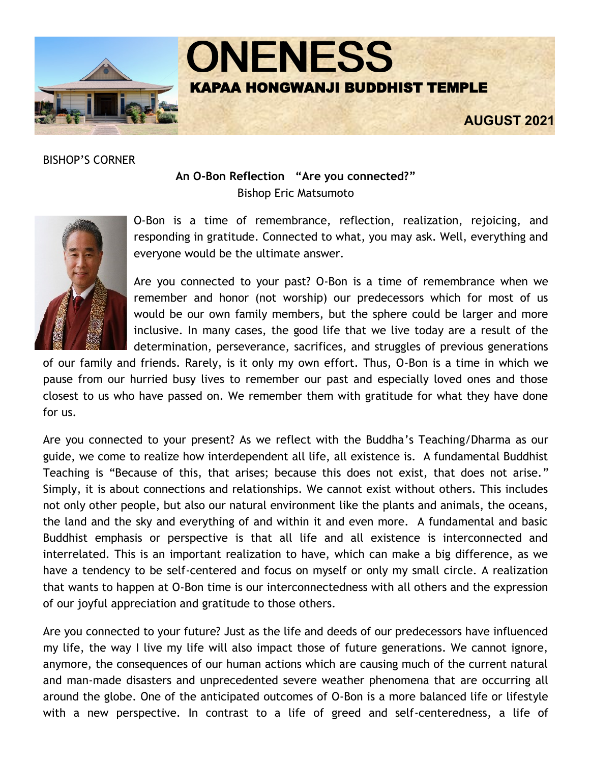

BISHOP'S CORNER

# **An O-Bon Reflection "Are you connected?"** Bishop Eric Matsumoto



O-Bon is a time of remembrance, reflection, realization, rejoicing, and responding in gratitude. Connected to what, you may ask. Well, everything and everyone would be the ultimate answer.

Are you connected to your past? O-Bon is a time of remembrance when we remember and honor (not worship) our predecessors which for most of us would be our own family members, but the sphere could be larger and more inclusive. In many cases, the good life that we live today are a result of the determination, perseverance, sacrifices, and struggles of previous generations

of our family and friends. Rarely, is it only my own effort. Thus, O-Bon is a time in which we pause from our hurried busy lives to remember our past and especially loved ones and those closest to us who have passed on. We remember them with gratitude for what they have done for us.

Are you connected to your present? As we reflect with the Buddha's Teaching/Dharma as our guide, we come to realize how interdependent all life, all existence is. A fundamental Buddhist Teaching is "Because of this, that arises; because this does not exist, that does not arise." Simply, it is about connections and relationships. We cannot exist without others. This includes not only other people, but also our natural environment like the plants and animals, the oceans, the land and the sky and everything of and within it and even more. A fundamental and basic Buddhist emphasis or perspective is that all life and all existence is interconnected and interrelated. This is an important realization to have, which can make a big difference, as we have a tendency to be self-centered and focus on myself or only my small circle. A realization that wants to happen at O-Bon time is our interconnectedness with all others and the expression of our joyful appreciation and gratitude to those others.

Are you connected to your future? Just as the life and deeds of our predecessors have influenced my life, the way I live my life will also impact those of future generations. We cannot ignore, anymore, the consequences of our human actions which are causing much of the current natural and man-made disasters and unprecedented severe weather phenomena that are occurring all around the globe. One of the anticipated outcomes of O-Bon is a more balanced life or lifestyle with a new perspective. In contrast to a life of greed and self-centeredness, a life of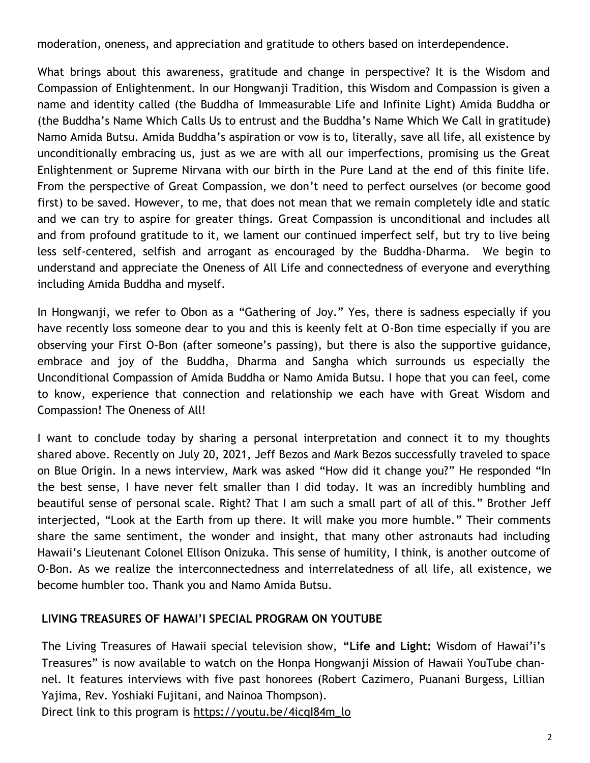moderation, oneness, and appreciation and gratitude to others based on interdependence.

What brings about this awareness, gratitude and change in perspective? It is the Wisdom and Compassion of Enlightenment. In our Hongwanji Tradition, this Wisdom and Compassion is given a name and identity called (the Buddha of Immeasurable Life and Infinite Light) Amida Buddha or (the Buddha's Name Which Calls Us to entrust and the Buddha's Name Which We Call in gratitude) Namo Amida Butsu. Amida Buddha's aspiration or vow is to, literally, save all life, all existence by unconditionally embracing us, just as we are with all our imperfections, promising us the Great Enlightenment or Supreme Nirvana with our birth in the Pure Land at the end of this finite life. From the perspective of Great Compassion, we don't need to perfect ourselves (or become good first) to be saved. However, to me, that does not mean that we remain completely idle and static and we can try to aspire for greater things. Great Compassion is unconditional and includes all and from profound gratitude to it, we lament our continued imperfect self, but try to live being less self-centered, selfish and arrogant as encouraged by the Buddha-Dharma. We begin to understand and appreciate the Oneness of All Life and connectedness of everyone and everything including Amida Buddha and myself.

In Hongwanji, we refer to Obon as a "Gathering of Joy." Yes, there is sadness especially if you have recently loss someone dear to you and this is keenly felt at O-Bon time especially if you are observing your First O-Bon (after someone's passing), but there is also the supportive guidance, embrace and joy of the Buddha, Dharma and Sangha which surrounds us especially the Unconditional Compassion of Amida Buddha or Namo Amida Butsu. I hope that you can feel, come to know, experience that connection and relationship we each have with Great Wisdom and Compassion! The Oneness of All!

I want to conclude today by sharing a personal interpretation and connect it to my thoughts shared above. Recently on July 20, 2021, Jeff Bezos and Mark Bezos successfully traveled to space on Blue Origin. In a news interview, Mark was asked "How did it change you?" He responded "In the best sense, I have never felt smaller than I did today. It was an incredibly humbling and beautiful sense of personal scale. Right? That I am such a small part of all of this." Brother Jeff interjected, "Look at the Earth from up there. It will make you more humble." Their comments share the same sentiment, the wonder and insight, that many other astronauts had including Hawaii's Lieutenant Colonel Ellison Onizuka. This sense of humility, I think, is another outcome of O-Bon. As we realize the interconnectedness and interrelatedness of all life, all existence, we become humbler too. Thank you and Namo Amida Butsu.

# **LIVING TREASURES OF HAWAI'I SPECIAL PROGRAM ON YOUTUBE**

The Living Treasures of Hawaii special television show, **"Life and Light:** Wisdom of Hawai'i's Treasures" is now available to watch on the Honpa Hongwanji Mission of Hawaii YouTube channel. It features interviews with five past honorees (Robert Cazimero, Puanani Burgess, Lillian Yajima, Rev. Yoshiaki Fujitani, and Nainoa Thompson).

Direct link to this program is [https://youtu.be/4icqI84m\\_lo](https://youtu.be/4icqI84m_lo)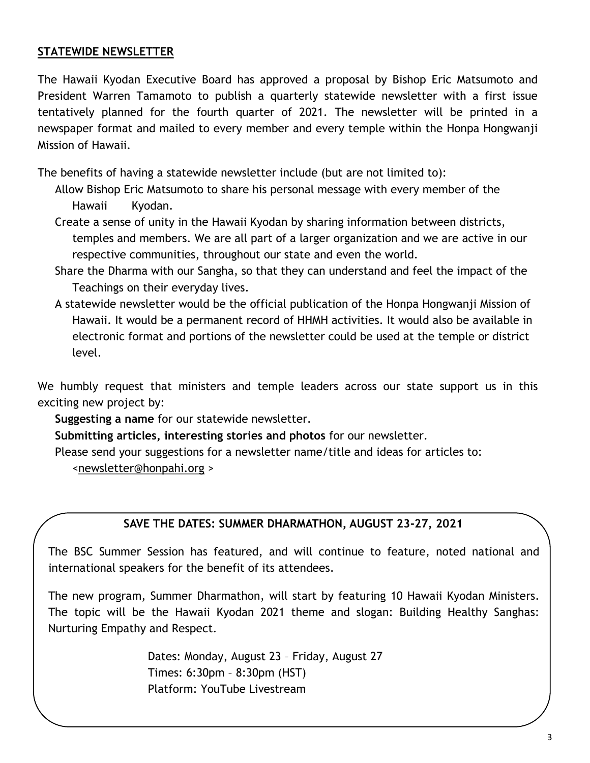# **STATEWIDE NEWSLETTER**

The Hawaii Kyodan Executive Board has approved a proposal by Bishop Eric Matsumoto and President Warren Tamamoto to publish a quarterly statewide newsletter with a first issue tentatively planned for the fourth quarter of 2021. The newsletter will be printed in a newspaper format and mailed to every member and every temple within the Honpa Hongwanji Mission of Hawaii.

The benefits of having a statewide newsletter include (but are not limited to):

- Allow Bishop Eric Matsumoto to share his personal message with every member of the Hawaii Kyodan.
- Create a sense of unity in the Hawaii Kyodan by sharing information between districts, temples and members. We are all part of a larger organization and we are active in our respective communities, throughout our state and even the world.
- Share the Dharma with our Sangha, so that they can understand and feel the impact of the Teachings on their everyday lives.
- A statewide newsletter would be the official publication of the Honpa Hongwanji Mission of Hawaii. It would be a permanent record of HHMH activities. It would also be available in electronic format and portions of the newsletter could be used at the temple or district level.

We humbly request that ministers and temple leaders across our state support us in this exciting new project by:

**Suggesting a name** for our statewide newsletter.

**Submitting articles, interesting stories and photos** for our newsletter.

Please send your suggestions for a newsletter name/title and ideas for articles to:

[<newsletter@honpahi.org](mailto:newsletter@honpahi.org) >

## **SAVE THE DATES: SUMMER DHARMATHON, AUGUST 23-27, 2021**

The BSC Summer Session has featured, and will continue to feature, noted national and international speakers for the benefit of its attendees.

The new program, Summer Dharmathon, will start by featuring 10 Hawaii Kyodan Ministers. The topic will be the Hawaii Kyodan 2021 theme and slogan: Building Healthy Sanghas: Nurturing Empathy and Respect.

> Dates: Monday, August 23 – Friday, August 27 Times: 6:30pm – 8:30pm (HST) Platform: YouTube Livestream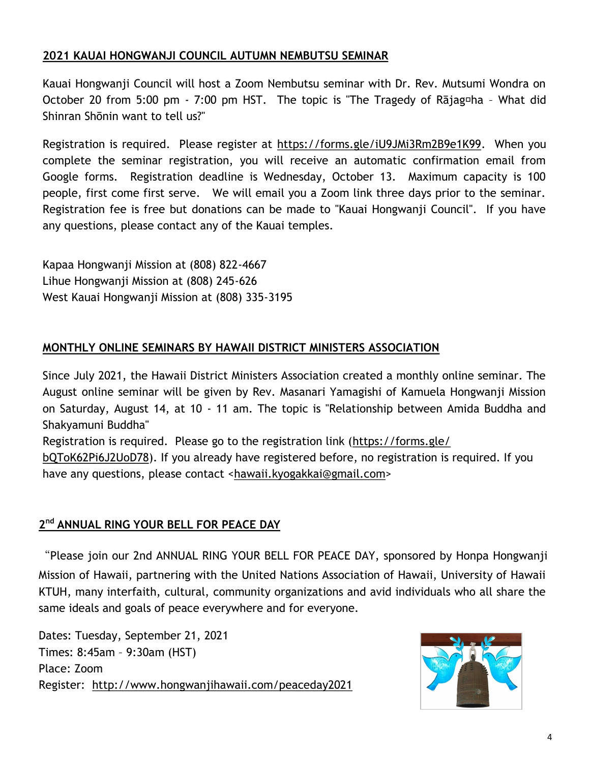# **2021 KAUAI HONGWANJI COUNCIL AUTUMN NEMBUTSU SEMINAR**

Kauai Hongwanji Council will host a Zoom Nembutsu seminar with Dr. Rev. Mutsumi Wondra on October 20 from 5:00 pm - 7:00 pm HST. The topic is "The Tragedy of Rajag<sup>[d]</sup> - What did Shinran Shōnin want to tell us?"

Registration is required. Please register at [https://forms.gle/iU9JMi3Rm2B9e1K99.](https://forms.gle/iU9JMi3Rm2B9e1K99) When you complete the seminar registration, you will receive an automatic confirmation email from Google forms. Registration deadline is Wednesday, October 13. Maximum capacity is 100 people, first come first serve. We will email you a Zoom link three days prior to the seminar. Registration fee is free but donations can be made to "Kauai Hongwanji Council''. If you have any questions, please contact any of the Kauai temples.

Kapaa Hongwanji Mission at (808) 822-4667 Lihue Hongwanji Mission at (808) 245-626 West Kauai Hongwanji Mission at (808) 335-3195

# **MONTHLY ONLINE SEMINARS BY HAWAII DISTRICT MINISTERS ASSOCIATION**

Since July 2021, the Hawaii District Ministers Association created a monthly online seminar. The August online seminar will be given by Rev. Masanari Yamagishi of Kamuela Hongwanji Mission on Saturday, August 14, at 10 - 11 am. The topic is "Relationship between Amida Buddha and Shakyamuni Buddha"

Registration is required. Please go to the registration link ([https://forms.gle/](https://forms.gle/bQToK62Pi6J2UoD78)

[bQToK62Pi6J2UoD78\).](https://forms.gle/bQToK62Pi6J2UoD78) If you already have registered before, no registration is required. If you have any questions, please contact <[hawaii.kyogakkai@gmail.com>](mailto:hawaii.kyogakkai@gmail.com)

## **2 nd ANNUAL RING YOUR BELL FOR PEACE DAY**

"Please join our 2nd ANNUAL RING YOUR BELL FOR PEACE DAY, sponsored by Honpa Hongwanji Mission of Hawaii, partnering with the United Nations Association of Hawaii, University of Hawaii KTUH, many interfaith, cultural, community organizations and avid individuals who all share the same ideals and goals of peace everywhere and for everyone.

Dates: Tuesday, September 21, 2021 Times: 8:45am – 9:30am (HST) Place: Zoom Register: <http://www.hongwanjihawaii.com/peaceday2021>

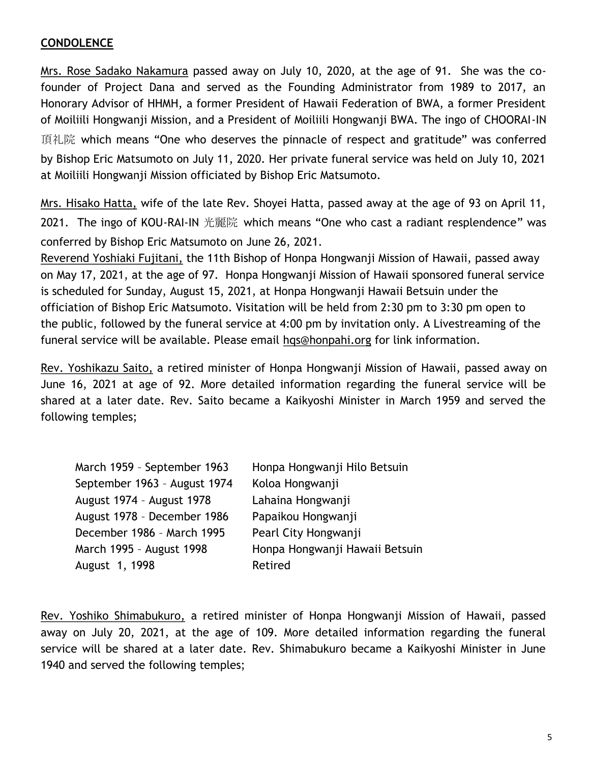# **CONDOLENCE**

Mrs. Rose Sadako Nakamura passed away on July 10, 2020, at the age of 91. She was the cofounder of Project Dana and served as the Founding Administrator from 1989 to 2017, an Honorary Advisor of HHMH, a former President of Hawaii Federation of BWA, a former President of Moiliili Hongwanji Mission, and a President of Moiliili Hongwanji BWA. The ingo of CHOORAI-IN 頂礼院 which means "One who deserves the pinnacle of respect and gratitude" was conferred by Bishop Eric Matsumoto on July 11, 2020. Her private funeral service was held on July 10, 2021 at Moiliili Hongwanji Mission officiated by Bishop Eric Matsumoto.

Mrs. Hisako Hatta, wife of the late Rev. Shoyei Hatta, passed away at the age of 93 on April 11, 2021. The ingo of KOU-RAI-IN 光麗院 which means "One who cast a radiant resplendence" was conferred by Bishop Eric Matsumoto on June 26, 2021.

Reverend Yoshiaki Fujitani, the 11th Bishop of Honpa Hongwanji Mission of Hawaii, passed away on May 17, 2021, at the age of 97. Honpa Hongwanji Mission of Hawaii sponsored funeral service is scheduled for Sunday, August 15, 2021, at Honpa Hongwanji Hawaii Betsuin under the officiation of Bishop Eric Matsumoto. Visitation will be held from 2:30 pm to 3:30 pm open to the public, followed by the funeral service at 4:00 pm by invitation only. A Livestreaming of the funeral service will be available. Please email [hqs@honpahi.org](mailto:hqs@honpahi.org) for link information.

Rev. Yoshikazu Saito, a retired minister of Honpa Hongwanji Mission of Hawaii, passed away on June 16, 2021 at age of 92. More detailed information regarding the funeral service will be shared at a later date. Rev. Saito became a Kaikyoshi Minister in March 1959 and served the following temples;

| Honpa Hongwanji Hilo Betsuin   |
|--------------------------------|
| Koloa Hongwanji                |
| Lahaina Hongwanji              |
| Papaikou Hongwanji             |
| Pearl City Hongwanji           |
| Honpa Hongwanji Hawaii Betsuin |
| Retired                        |
|                                |

Rev. Yoshiko Shimabukuro, a retired minister of Honpa Hongwanji Mission of Hawaii, passed away on July 20, 2021, at the age of 109. More detailed information regarding the funeral service will be shared at a later date. Rev. Shimabukuro became a Kaikyoshi Minister in June 1940 and served the following temples;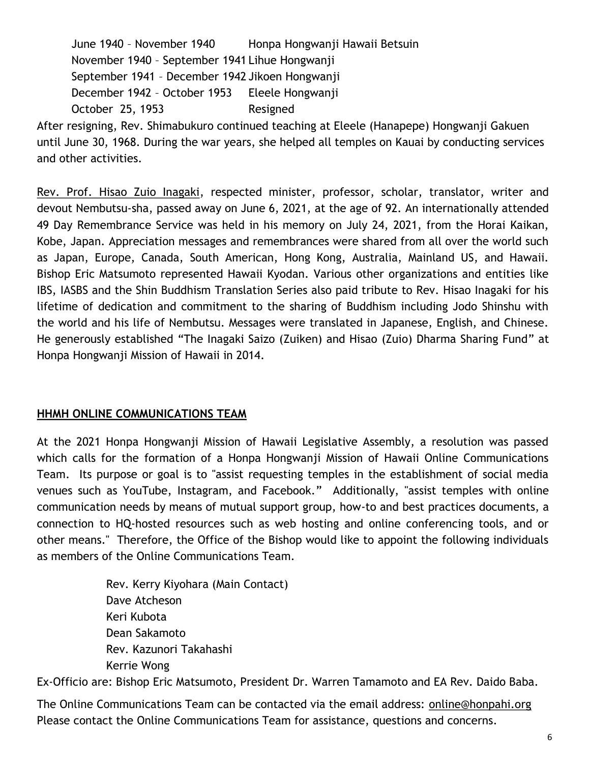June 1940 – November 1940 Honpa Hongwanji Hawaii Betsuin November 1940 – September 1941 Lihue Hongwanji September 1941 – December 1942 Jikoen Hongwanji December 1942 – October 1953 Eleele Hongwanji October 25, 1953 Resigned

After resigning, Rev. Shimabukuro continued teaching at Eleele (Hanapepe) Hongwanji Gakuen until June 30, 1968. During the war years, she helped all temples on Kauai by conducting services and other activities.

Rev. Prof. Hisao Zuio Inagaki, respected minister, professor, scholar, translator, writer and devout Nembutsu-sha, passed away on June 6, 2021, at the age of 92. An internationally attended 49 Day Remembrance Service was held in his memory on July 24, 2021, from the Horai Kaikan, Kobe, Japan. Appreciation messages and remembrances were shared from all over the world such as Japan, Europe, Canada, South American, Hong Kong, Australia, Mainland US, and Hawaii. Bishop Eric Matsumoto represented Hawaii Kyodan. Various other organizations and entities like IBS, IASBS and the Shin Buddhism Translation Series also paid tribute to Rev. Hisao Inagaki for his lifetime of dedication and commitment to the sharing of Buddhism including Jodo Shinshu with the world and his life of Nembutsu. Messages were translated in Japanese, English, and Chinese. He generously established "The Inagaki Saizo (Zuiken) and Hisao (Zuio) Dharma Sharing Fund" at Honpa Hongwanji Mission of Hawaii in 2014.

## **HHMH ONLINE COMMUNICATIONS TEAM**

At the 2021 Honpa Hongwanji Mission of Hawaii Legislative Assembly, a resolution was passed which calls for the formation of a Honpa Hongwanji Mission of Hawaii Online Communications Team. Its purpose or goal is to "assist requesting temples in the establishment of social media venues such as YouTube, Instagram, and Facebook." Additionally, "assist temples with online communication needs by means of mutual support group, how-to and best practices documents, a connection to HQ-hosted resources such as web hosting and online conferencing tools, and or other means." Therefore, the Office of the Bishop would like to appoint the following individuals as members of the Online Communications Team.

> Rev. Kerry Kiyohara (Main Contact) Dave Atcheson Keri Kubota Dean Sakamoto Rev. Kazunori Takahashi Kerrie Wong

Ex-Officio are: Bishop Eric Matsumoto, President Dr. Warren Tamamoto and EA Rev. Daido Baba.

The Online Communications Team can be contacted via the email address: [online@honpahi.org](mailto:online@honpahi.org)  Please contact the Online Communications Team for assistance, questions and concerns.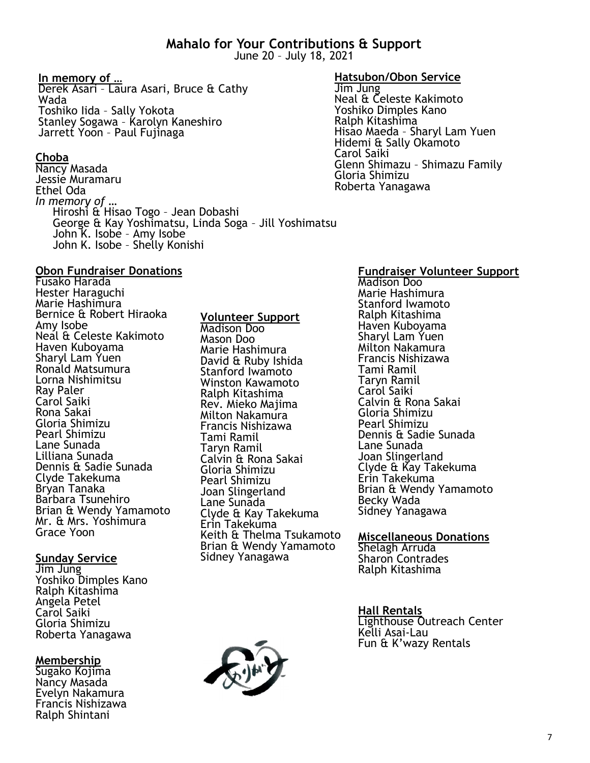# **Mahalo for Your Contributions & Support**

June 20 – July 18, 2021

## **In memory of …**

Derek Asari – Laura Asari, Bruce & Cathy Wada Toshiko Iida – Sally Yokota Stanley Sogawa – Karolyn Kaneshiro Jarrett Yoon – Paul Fujinaga

## **Choba**

Nancy Masada Jessie Muramaru Ethel Oda *In memory of* … Hiroshi & Hisao Togo – Jean Dobashi George & Kay Yoshimatsu, Linda Soga – Jill Yoshimatsu John K. Isobe – Amy Isobe John K. Isobe – Shelly Konishi

#### **Obon Fundraiser Donations**

Fusako Harada Hester Haraguchi Marie Hashimura Bernice & Robert Hiraoka Amy Isobe Neal & Celeste Kakimoto Haven Kuboyama Sharyl Lam Yuen Ronald Matsumura Lorna Nishimitsu Ray Paler Carol Saiki Rona Sakai Gloria Shimizu Pearl Shimizu Lane Sunada Lilliana Sunada Dennis & Sadie Sunada Clyde Takekuma Bryan Tanaka Barbara Tsunehiro Brian & Wendy Yamamoto Mr. & Mrs. Yoshimura Grace Yoon

# **Sunday Service**

Jim Jung Yoshiko Dimples Kano Ralph Kitashima Angela Petel Carol Saiki Gloria Shimizu Roberta Yanagawa

**Membership** Sugako Kojima Nancy Masada Evelyn Nakamura Francis Nishizawa

Ralph Shintani

# **Volunteer Support**

Madison Doo Mason Doo Marie Hashimura David & Ruby Ishida Stanford Iwamoto Winston Kawamoto Ralph Kitashima Rev. Mieko Majima Milton Nakamura Francis Nishizawa Tami Ramil Taryn Ramil Calvin & Rona Sakai Gloria Shimizu Pearl Shimizu Joan Slingerland Lane Sunada Clyde & Kay Takekuma Erin Takekuma Keith & Thelma Tsukamoto Brian & Wendy Yamamoto Sidney Yanagawa

#### **Hatsubon/Obon Service**

Jim Jung Neal & Celeste Kakimoto Yoshiko Dimples Kano Ralph Kitashima Hisao Maeda – Sharyl Lam Yuen Hidemi & Sally Okamoto Carol Saiki Glenn Shimazu – Shimazu Family Gloria Shimizu Roberta Yanagawa

#### **Fundraiser Volunteer Support**

Madison Doo Marie Hashimura Stanford Iwamoto Ralph Kitashima Haven Kuboyama Sharyl Lam Yuen Milton Nakamura Francis Nishizawa Tami Ramil Taryn Ramil Carol Saiki Calvin & Rona Sakai Gloria Shimizu Pearl Shimizu Dennis & Sadie Sunada Lane Sunada Joan Slingerland Clyde & Kay Takekuma Erin Takekuma Brian & Wendy Yamamoto Becky Wada Sidney Yanagawa

#### **Miscellaneous Donations** Shelagh Arruda Sharon Contrades Ralph Kitashima

#### **Hall Rentals**

Lighthouse Outreach Center Kelli Asai-Lau Fun & K'wazy Rentals

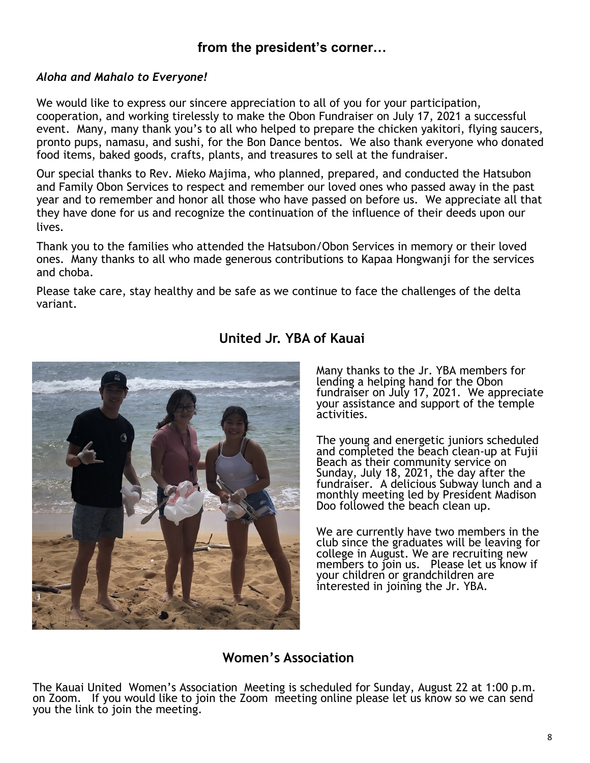# **from the president's corner…**

#### *Aloha and Mahalo to Everyone!*

We would like to express our sincere appreciation to all of you for your participation, cooperation, and working tirelessly to make the Obon Fundraiser on July 17, 2021 a successful event. Many, many thank you's to all who helped to prepare the chicken yakitori, flying saucers, pronto pups, namasu, and sushi, for the Bon Dance bentos. We also thank everyone who donated food items, baked goods, crafts, plants, and treasures to sell at the fundraiser.

Our special thanks to Rev. Mieko Majima, who planned, prepared, and conducted the Hatsubon and Family Obon Services to respect and remember our loved ones who passed away in the past year and to remember and honor all those who have passed on before us. We appreciate all that they have done for us and recognize the continuation of the influence of their deeds upon our lives.

Thank you to the families who attended the Hatsubon/Obon Services in memory or their loved ones. Many thanks to all who made generous contributions to Kapaa Hongwanji for the services and choba.

Please take care, stay healthy and be safe as we continue to face the challenges of the delta variant.



# **United Jr. YBA of Kauai**

Many thanks to the Jr. YBA members for lending a helping hand for the Obon fundraiser on July 17, 2021. We appreciate your assistance and support of the temple activities.

The young and energetic juniors scheduled and completed the beach clean-up at Fujii Beach as their community service on Sunday, July 18, 2021, the day after the fundraiser. A delicious Subway lunch and a monthly meeting led by President Madison Doo followed the beach clean up.

We are currently have two members in the club since the graduates will be leaving for college in August. We are recruiting new members to join us. Please let us know if your children or grandchildren are interested in joining the Jr. YBA.

# **Women's Association**

The Kauai United Women's Association Meeting is scheduled for Sunday, August 22 at 1:00 p.m. on Zoom. If you would like to join the Zoom meeting online please let us know so we can send you the link to join the meeting.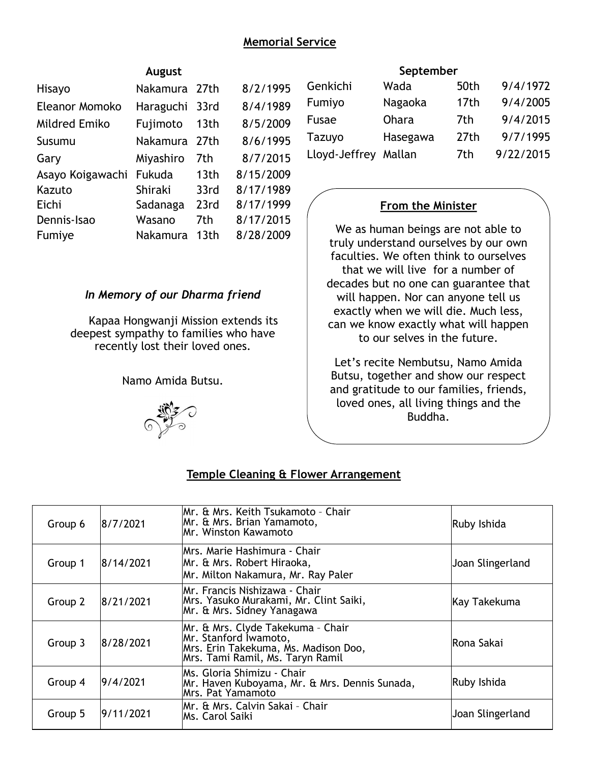# **Memorial Service**

|                  | August        |                  |           |
|------------------|---------------|------------------|-----------|
| Hisayo           | Nakamura 27th |                  | 8/2/1995  |
| Eleanor Momoko   | Haraguchi     | 33rd             | 8/4/1989  |
| Mildred Emiko    | Fujimoto      | 13th             | 8/5/2009  |
| Susumu           | Nakamura      | 27th             | 8/6/1995  |
| Gary             | Miyashiro     | 7th              | 8/7/2015  |
| Asayo Koigawachi | Fukuda        | 13 <sub>th</sub> | 8/15/2009 |
| Kazuto           | Shiraki       | 33rd             | 8/17/1989 |
| Eichi            | Sadanaga      | 23rd             | 8/17/1999 |
| Dennis-Isao      | Wasano        | 7th              | 8/17/2015 |
| Fumiye           | Nakamura      | 13th             | 8/28/2009 |
|                  |               |                  |           |

#### *In Memory of our Dharma friend*

Kapaa Hongwanji Mission extends its deepest sympathy to families who have recently lost their loved ones.

Namo Amida Butsu.



#### **September**

| Genkichi             | Wada     | 50th             | 9/4/1972  |
|----------------------|----------|------------------|-----------|
| Fumiyo               | Nagaoka  | 17 <sub>th</sub> | 9/4/2005  |
| Fusae                | Ohara    | 7th              | 9/4/2015  |
| Tazuyo               | Hasegawa | 27 <sub>th</sub> | 9/7/1995  |
| Lloyd-Jeffrey Mallan |          | 7th              | 9/22/2015 |

#### **From the Minister**

We as human beings are not able to truly understand ourselves by our own faculties. We often think to ourselves that we will live for a number of decades but no one can guarantee that will happen. Nor can anyone tell us exactly when we will die. Much less, can we know exactly what will happen to our selves in the future.

Let's recite Nembutsu, Namo Amida Butsu, together and show our respect and gratitude to our families, friends, loved ones, all living things and the Buddha.

| Group 6 | 8/7/2021  | Mr. & Mrs. Keith Tsukamoto - Chair<br>Mr. & Mrs. Brian Yamamoto,<br>IMr. Winston Kawamoto                                              | Ruby Ishida      |
|---------|-----------|----------------------------------------------------------------------------------------------------------------------------------------|------------------|
| Group 1 | 8/14/2021 | Mrs. Marie Hashimura - Chair<br>Mr. & Mrs. Robert Hiraoka,<br>Mr. Milton Nakamura, Mr. Ray Paler                                       | Joan Slingerland |
| Group 2 | 8/21/2021 | lMr. Francis Nishizawa - Chair<br>Mrs. Yasuko Murakami, Mr. Clint Saiki,<br>Mr. & Mrs. Sidney Yanagawa                                 | Kay Takekuma     |
| Group 3 | 8/28/2021 | Mr. & Mrs. Clyde Takekuma - Chair<br>Mr. Stanford Iwamoto,<br>Mrs. Erin Takekuma, Ms. Madison Doo,<br>Mrs. Tami Ramil, Ms. Taryn Ramil | lRona Sakai      |
| Group 4 | 19/4/2021 | IMs. Gloria Shimizu - Chair<br>Mr. Haven Kuboyama, Mr. & Mrs. Dennis Sunada,<br>Mrs. Pat Yamamoto                                      | Ruby Ishida      |
| Group 5 | 9/11/2021 | Mr. & Mrs. Calvin Sakai - Chair<br>lMs. Carol Saiki                                                                                    | Joan Slingerland |

#### **Temple Cleaning & Flower Arrangement**